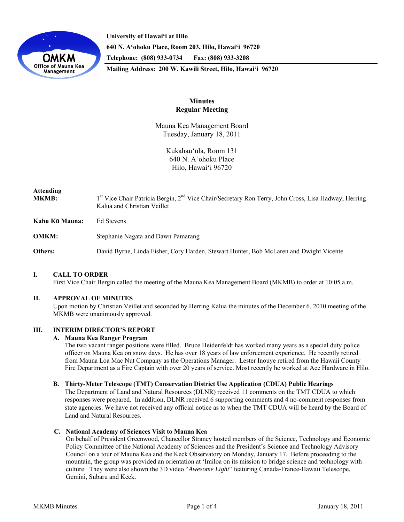

**University of Hawai'i at Hilo 640 N. A'ohoku Place, Room 203, Hilo, Hawai'i 96720 Telephone: (808) 933-0734 Fax: (808) 933-3208 Mailing Address: 200 W. Kawili Street, Hilo, Hawai'i 96720** 

# **Minutes Regular Meeting**

Mauna Kea Management Board Tuesday, January 18, 2011

> Kukahau'ula, Room 131 640 N. A'ohoku Place Hilo, Hawai'i 96720

# **Attending**

MKMB: 1<sup>st</sup> Vice Chair Patricia Bergin, 2<sup>nd</sup> Vice Chair/Secretary Ron Terry, John Cross, Lisa Hadway, Herring Kalua and Christian Veillet

**Kahu Kū Mauna:** Ed Stevens

**OMKM:** Stephanie Nagata and Dawn Pamarang

**Others:** David Byrne, Linda Fisher, Cory Harden, Stewart Hunter, Bob McLaren and Dwight Vicente

# **I. CALL TO ORDER**

First Vice Chair Bergin called the meeting of the Mauna Kea Management Board (MKMB) to order at 10:05 a.m.

### **II. APPROVAL OF MINUTES**

Upon motion by Christian Veillet and seconded by Herring Kalua the minutes of the December 6, 2010 meeting of the MKMB were unanimously approved.

# **III. INTERIM DIRECTOR'S REPORT**

### **A. Mauna Kea Ranger Program**

The two vacant ranger positions were filled. Bruce Heidenfeldt has worked many years as a special duty police officer on Mauna Kea on snow days. He has over 18 years of law enforcement experience. He recently retired from Mauna Loa Mac Nut Company as the Operations Manager. Lester Inouye retired from the Hawaii County Fire Department as a Fire Captain with over 20 years of service. Most recently he worked at Ace Hardware in Hilo.

### **B. Thirty-Meter Telescope (TMT) Conservation District Use Application (CDUA) Public Hearings**

The Department of Land and Natural Resources (DLNR) received 11 comments on the TMT CDUA to which responses were prepared. In addition, DLNR received 6 supporting comments and 4 no-comment responses from state agencies. We have not received any official notice as to when the TMT CDUA will be heard by the Board of Land and Natural Resources.

### **C. National Academy of Sciences Visit to Mauna Kea**

On behalf of President Greenwood, Chancellor Straney hosted members of the Science, Technology and Economic Policy Committee of the National Academy of Sciences and the President's Science and Technology Advisory Council on a tour of Mauna Kea and the Keck Observatory on Monday, January 17. Before proceeding to the mountain, the group was provided an orientation at ʻImiloa on its mission to bridge science and technology with culture. They were also shown the 3D video "*Awesome Light*" featuring Canada-France-Hawaii Telescope, Gemini, Subaru and Keck.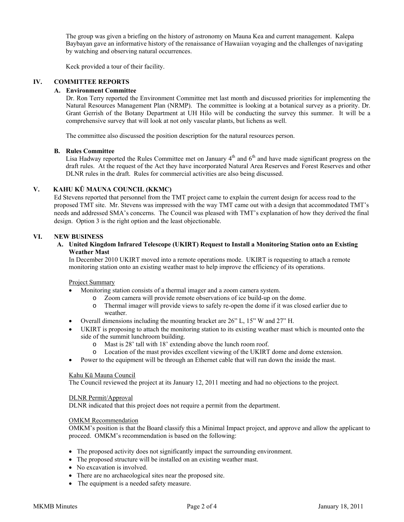The group was given a briefing on the history of astronomy on Mauna Kea and current management. Kalepa Baybayan gave an informative history of the renaissance of Hawaiian voyaging and the challenges of navigating by watching and observing natural occurrences.

Keck provided a tour of their facility.

### **IV. COMMITTEE REPORTS**

### **A. Environment Committee**

Dr. Ron Terry reported the Environment Committee met last month and discussed priorities for implementing the Natural Resources Management Plan (NRMP). The committee is looking at a botanical survey as a priority. Dr. Grant Gerrish of the Botany Department at UH Hilo will be conducting the survey this summer. It will be a comprehensive survey that will look at not only vascular plants, but lichens as well.

The committee also discussed the position description for the natural resources person.

#### **B. Rules Committee**

Lisa Hadway reported the Rules Committee met on January  $4<sup>th</sup>$  and  $6<sup>th</sup>$  and have made significant progress on the draft rules. At the request of the Act they have incorporated Natural Area Reserves and Forest Reserves and other DLNR rules in the draft. Rules for commercial activities are also being discussed.

#### **V. KAHU KŪ MAUNA COUNCIL (KKMC)**

Ed Stevens reported that personnel from the TMT project came to explain the current design for access road to the proposed TMT site. Mr. Stevens was impressed with the way TMT came out with a design that accommodated TMT's needs and addressed SMA's concerns. The Council was pleased with TMT's explanation of how they derived the final design. Option 3 is the right option and the least objectionable.

#### **VI. NEW BUSINESS**

#### **A. United Kingdom Infrared Telescope (UKIRT) Request to Install a Monitoring Station onto an Existing Weather Mast**

In December 2010 UKIRT moved into a remote operations mode. UKIRT is requesting to attach a remote monitoring station onto an existing weather mast to help improve the efficiency of its operations.

Project Summary

- Monitoring station consists of a thermal imager and a zoom camera system.
	- o Zoom camera will provide remote observations of ice build-up on the dome.
	- o Thermal imager will provide views to safely re-open the dome if it was closed earlier due to weather.
- Overall dimensions including the mounting bracket are 26" L, 15" W and 27" H.
- UKIRT is proposing to attach the monitoring station to its existing weather mast which is mounted onto the side of the summit lunchroom building.
	- o Mast is 28' tall with 18' extending above the lunch room roof.
	- o Location of the mast provides excellent viewing of the UKIRT dome and dome extension.
- Power to the equipment will be through an Ethernet cable that will run down the inside the mast.

#### Kahu Kū Mauna Council

The Council reviewed the project at its January 12, 2011 meeting and had no objections to the project.

#### DLNR Permit/Approval

DLNR indicated that this project does not require a permit from the department.

#### OMKM Recommendation

OMKM's position is that the Board classify this a Minimal Impact project, and approve and allow the applicant to proceed. OMKM's recommendation is based on the following:

- The proposed activity does not significantly impact the surrounding environment.
- The proposed structure will be installed on an existing weather mast.
- No excavation is involved.
- There are no archaeological sites near the proposed site.
- The equipment is a needed safety measure.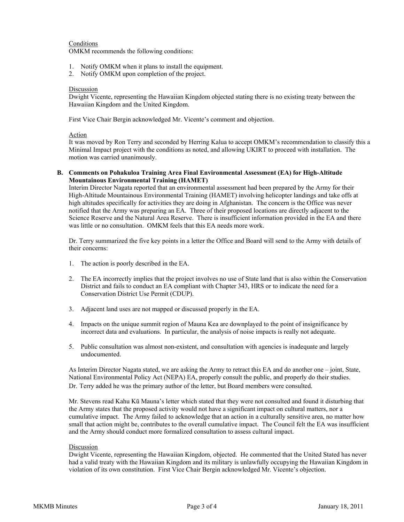# Conditions

OMKM recommends the following conditions:

- 1. Notify OMKM when it plans to install the equipment.
- 2. Notify OMKM upon completion of the project.

#### Discussion

Dwight Vicente, representing the Hawaiian Kingdom objected stating there is no existing treaty between the Hawaiian Kingdom and the United Kingdom.

First Vice Chair Bergin acknowledged Mr. Vicente's comment and objection.

#### Action

It was moved by Ron Terry and seconded by Herring Kalua to accept OMKM's recommendation to classify this a Minimal Impact project with the conditions as noted, and allowing UKIRT to proceed with installation. The motion was carried unanimously.

**B. Comments on Pohakuloa Training Area Final Environmental Assessment (EA) for High-Altitude Mountainous Environmental Training (HAMET)**

Interim Director Nagata reported that an environmental assessment had been prepared by the Army for their High-Altitude Mountainous Environmental Training (HAMET) involving helicopter landings and take offs at high altitudes specifically for activities they are doing in Afghanistan. The concern is the Office was never notified that the Army was preparing an EA. Three of their proposed locations are directly adjacent to the Science Reserve and the Natural Area Reserve. There is insufficient information provided in the EA and there was little or no consultation. OMKM feels that this EA needs more work.

Dr. Terry summarized the five key points in a letter the Office and Board will send to the Army with details of their concerns:

- 1. The action is poorly described in the EA.
- 2. The EA incorrectly implies that the project involves no use of State land that is also within the Conservation District and fails to conduct an EA compliant with Chapter 343, HRS or to indicate the need for a Conservation District Use Permit (CDUP).
- 3. Adjacent land uses are not mapped or discussed properly in the EA.
- 4. Impacts on the unique summit region of Mauna Kea are downplayed to the point of insignificance by incorrect data and evaluations. In particular, the analysis of noise impacts is really not adequate.
- 5. Public consultation was almost non-existent, and consultation with agencies is inadequate and largely undocumented.

As Interim Director Nagata stated, we are asking the Army to retract this EA and do another one – joint, State, National Environmental Policy Act (NEPA) EA, properly consult the public, and properly do their studies. Dr. Terry added he was the primary author of the letter, but Board members were consulted.

Mr. Stevens read Kahu Kū Mauna's letter which stated that they were not consulted and found it disturbing that the Army states that the proposed activity would not have a significant impact on cultural matters, nor a cumulative impact. The Army failed to acknowledge that an action in a culturally sensitive area, no matter how small that action might be, contributes to the overall cumulative impact. The Council felt the EA was insufficient and the Army should conduct more formalized consultation to assess cultural impact.

### Discussion

Dwight Vicente, representing the Hawaiian Kingdom, objected. He commented that the United Stated has never had a valid treaty with the Hawaiian Kingdom and its military is unlawfully occupying the Hawaiian Kingdom in violation of its own constitution. First Vice Chair Bergin acknowledged Mr. Vicente's objection.